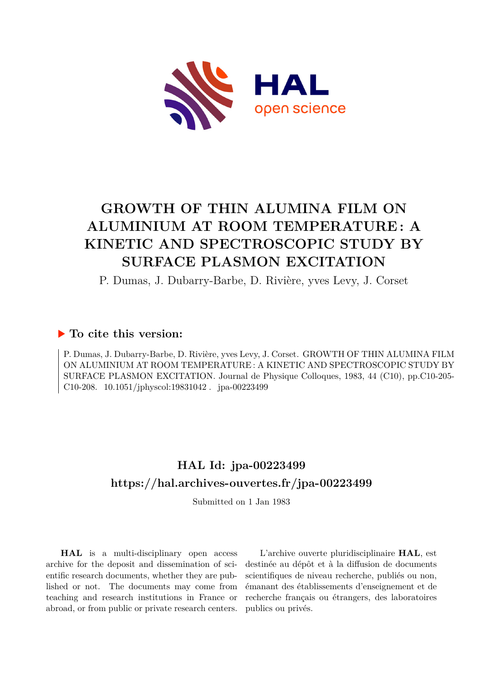

# **GROWTH OF THIN ALUMINA FILM ON ALUMINIUM AT ROOM TEMPERATURE : A KINETIC AND SPECTROSCOPIC STUDY BY SURFACE PLASMON EXCITATION**

P. Dumas, J. Dubarry-Barbe, D. Rivière, yves Levy, J. Corset

### **To cite this version:**

P. Dumas, J. Dubarry-Barbe, D. Rivière, yves Levy, J. Corset. GROWTH OF THIN ALUMINA FILM ON ALUMINIUM AT ROOM TEMPERATURE : A KINETIC AND SPECTROSCOPIC STUDY BY SURFACE PLASMON EXCITATION. Journal de Physique Colloques, 1983, 44 (C10), pp.C10-205- C10-208.  $10.1051/jphyscol:19831042$ . jpa-00223499

## **HAL Id: jpa-00223499 <https://hal.archives-ouvertes.fr/jpa-00223499>**

Submitted on 1 Jan 1983

**HAL** is a multi-disciplinary open access archive for the deposit and dissemination of scientific research documents, whether they are published or not. The documents may come from teaching and research institutions in France or abroad, or from public or private research centers.

L'archive ouverte pluridisciplinaire **HAL**, est destinée au dépôt et à la diffusion de documents scientifiques de niveau recherche, publiés ou non, émanant des établissements d'enseignement et de recherche français ou étrangers, des laboratoires publics ou privés.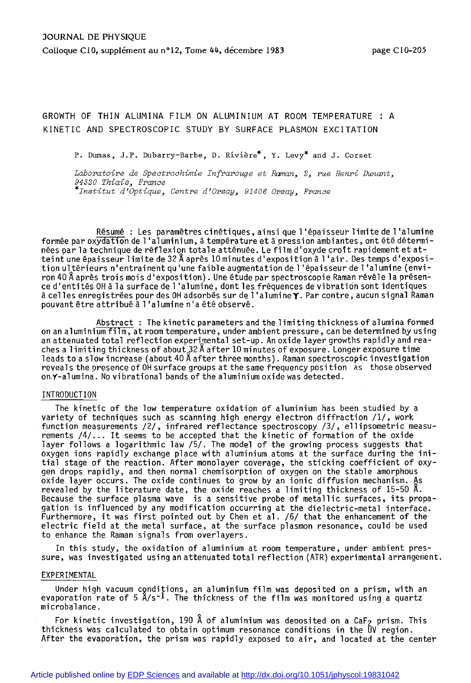GROWTH OF THIN ALUMINA FILM ON ALUMINIUM AT ROOM TEMPERATURE : A KINETIC AND SPECTROSCOPIC STUDY BY SURFACE PLASMON EXCITATION

P. Dumas, J.P. Dubarry-Barbe, D. Riviere\*, Y. Levy\* and J. Corset

*Laboratoire de Spectrochirnie Infrarouge et Roman, 2, rue Henri Dunant, 94320 Thiais, France \*Institut d'Optique, Centre d'Orsay, 91406 Orsay, France* 

Résume : Les paramètres cinétiques, ainsi que l'épaisseur limite de l'alumine formée par oxydation de 1'aluminium, à température et à pression ambiantes, ont été déterminées par la technique de réflexion totale atténuée. Le film d'oxyde croît rapidement et atteint une épaisseur limite de 32 Å après 10 minutes d'exposition à l'air. Des temps d'exposition ultérieurs n'entrainent qu'une faible augmentation de l'épaisseur de l'alumine (environ 40 Â après trois mois d'exposition). Une étude par spectroscopie Raman révèle la présence d'entités OH à la surface de l'alumine, dont les fréquences de vibration sont identiques à celles enregistrées pour des OH adsorbés sur de l'alumineY- Par contre, aucun signal Raman pouvant être attri buë à 1 ' al umi ne n ' a été observé.

Abstract : The kinetic parameters and the limiting thickness of alumina formed on an aluminium film, at room temperature, under ambient pressure, can be determined by using an attenuated total reflection experimental set-up. An oxide layer growths rapidly and reaches a limiting thickness of about 32 A after 10 minutes of exposure. Longer exposure time<br>leads to a slow increase (about 40 Å after three months). Raman spectroscopic investigation reveals the presence of OH surface groups at the same frequency position as those observed on.Y-alumina. No vibrational bands of the aluminium oxide was detected.

#### INTRODUCTION

The kinetic of the low temperature oxidation of aluminium has been studied by a variety of techniques such as scanning high energy electron diffraction /l/, work function measurements /2/ , infrared reflectance spectroscopy /3/, ellipsometric measurements /4/... It seems to be accepted that the kinetic of formation of the oxide layer follows a logarithmic law /5/. The model of the growing process suggests that oxygen ions rapidly exchange place with aluminium atoms at the surface during the initial stage of the reaction. After monolayer coverage, the sticking coefficient of oxygen drops rapidly, and then normal chemisorption of oxygen on the stable amorphous oxide layer occurs. The oxide continues to grow by an ionic diffusion mechanism. As revealed by the literature date, the oxide reaches a limiting thickness of 15-50 A. Because the surface plasma wave is a sensitive probe of metallic surfaces, its propagation is influenced by any modification occurring at the dielectric-metal interface. Furthermore, it was first pointed out by Chen et al. /6/ that the enhancement of the electric field at the metal surface, at the surface plasmon resonance, could be used to enhance the Raman signals from overlayers.

In this study, the oxidation of aluminium at room temperature, under ambient pressure, was investigated using an attenuated total reflection (ATR) experimental arrangement.

#### EXPERIMENTAL

Under high vacuum conditions, an aluminium film was deposited on a prism, with an evaporation rate of 5  $A/s^{-1}$ . The thickness of the film was monitored using a quartz microbalance.

For kinetic investigation, 190 Å of aluminium was deposited on a CaF<sub>2</sub> prism. This thickness was calculated to obtain optimum resonance conditions in the UV region. After the evaporation, the prism was rapidly exposed to air, and located at the center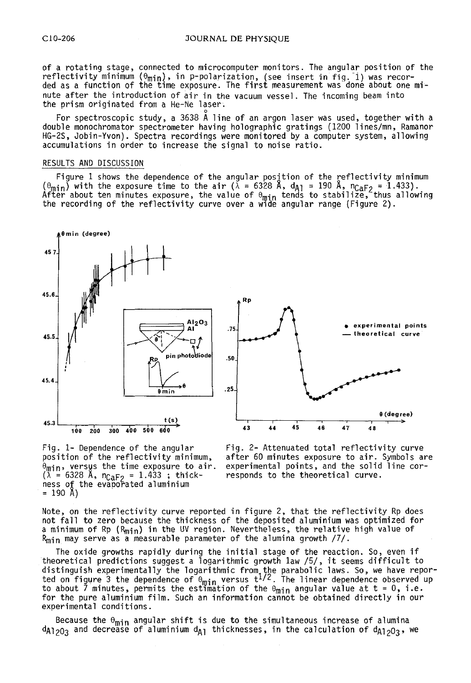of a rotating stage, connected to microcomputer monitors. The angular position of the reflectivity minimum  $(\theta_\mathsf{min})$ , in p-polarization, (see insert in fig. 1) was recorded as a function of the time exposure. The first measurement was done about one minute after the introduction of air in the vacuum vessel. The incoming beam into the prism originated from a He-Ne laser.

.<br>For spectroscopic study, a 3638 Å line of an argon laser was used, together with a double monochromator spectrometer having holographic gratings (1200 lines/mn, Ramanor HG-ZS, Jobin-Yvon). Spectra recordings were monitored by a computer system, allowing accumulations in order to increase the signal to noise ratio.

#### RESULTS AND DISCUSSION

Figure 1 shows the dependence of the angular posjtion of the reflectivity minimum  $(\theta_{\text{min}})$  with the exposure time to the air ( $\lambda = 6328$  A, d<sub>A1</sub> = 190 A, n<sub>CaF2</sub> = 1.433).<br>After about ten minutes exposure, the value o the recording of the reflectivity curve over a wide angular range (Figure 2).  $\;$ 





 $\theta_{\text{min}}$ , versus the time exposure to air. experimental points, and the solid  $(\lambda = 6328 \text{ Å}, \text{nc}_{\text{AF}}) = 1.433$ ; thick- responds to the theoretical curve.  $(\lambda = 6328 \text{ Å}, \text{ } n_{\text{CaF2}} = 1.433 \text{ ;} \text{ } \text{thick-}$ ness of the evaporated aluminium  $= 190 \, \text{Å}$ 

Fig. 1- Dependence of the angular Fig. 2- Attenuated total reflectivity curve<br>position of the reflectivity minimum, after 60 minutes exposure to air. Symbols a after 60 minutes exposure to air. Symbols are<br>experimental points, and the solid line cor-

Note, on the reflectivity curve reported in figure 2, that the reflectivity Rp does not fall to zero because the thickness of the deposited aluminium was optimized for a minimum of Rp (R<sub>min</sub>) in the UV region. Nevertheless, the relative high value of  $R_{\min}$  may serve as a measurable parameter of the alumina growth  $/7/$ .

The oxide growths rapidly during the initial stage of the reaction. So, even if The oxide growths rapidly during the initial stage of the reaction. So, even if<br>theoretical predictions suggest a logarithmic growth law /5/, it seems difficult to<br>distinguish experimentally the logarithmic from the parab ted on rigure 5 the dependence or  $\sigma_{\min}$  versus  $t^{2/2}$ . The Timear dependence observed<br>to about 7 minutes, permits the estimation of the  $\theta_{\min}$  angular value at t = 0, i.e. for the pure aluminium film. Such an information cannot be obtained directly in our experimental conditions.

Because the  $\theta_{\min}$  angular shift is due to the simultaneous increase of alumina  $d_{A1>0}$  and decrease of aluminium  $d_{A1}$  thicknesses, in the calculation of  $d_{A1>0}$ <sub>3</sub>, we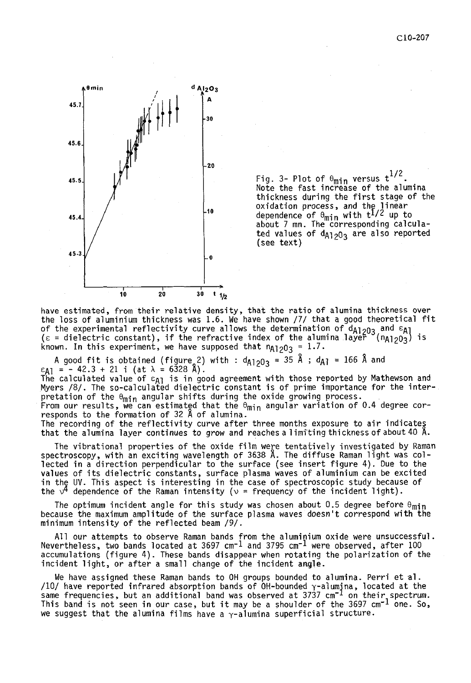

Fig. 3- Plot of  $\theta_{\text{min}}$  versus  $t^{1/2}$ .<br>Note the fast increase of the alumina thickness during the first stage of the oxidation process, and the linear<br>dependence of 0<sub>min</sub> with t<sup>1/2</sup> up to<br>about 7 mn. The corresponding calculated values of  $d_{A1203}$  are also reported (see text)

have estimated, from their relative density, that the ratio of alumina thickness over the loss of aluminium thickness was 1.6. We have shown /7/ that a good theoretical fit of the experimental reflectivity curve allows the determination of  $\mathsf{d}_{\mathsf{A}1/203}$  and  $\mathsf{\varepsilon}_{\mathsf{A}1}$ ( $\varepsilon$  = dielectric constant), if the refractive index of the alumina layer  $($ n $_{12}$ 0 $_{3})$  is known. In this experiment, we have supposed that  $\mathsf{n}_{\textsf{A1203}}$  =  $1.7.$ 

A good fit is obtained (figure 2) with :  $d_{A1203} = 35 \hat{A}$ ;  $d_{A1} = 166 \hat{A}$  and  $\epsilon_{A1} = -42.3 + 21$  i (at  $\lambda = 6328 \hat{A}$ ).

The calculated value of  $\varepsilon_{\text{A1}}$  is in good agreement with those reported by Mathewson and Myers /8/. The so-calculated dielectric constant is of prime importance for the interpretation of the  $\theta_{\min}$  angular shifts during the oxide growing process.

From our results, we can estimated that the  $\theta_{\min}$  angular variation of 0.4 degree cor-<br>responds to the formation of 32 A of alumina.

The recording of the reflectivity curve after three months exposure to air indicates that the alumina layer continues to grow and reaches a limiting thickness of about 40 A.

The vibrational properties of the oxide film were tentatively investigated by Raman spectroscopy, with an exciting wavelength of 3638 1. The diffuse Raman light was collected in a direction perpendicular to the surface (see insert figure 4). Due to the values of its dielectric constants, surface plasma waves of aluminium can be excited in the **UV.** This aspect is interesting in the case of spectroscopic study because of the  $\sqrt{4}$  dependence of the Raman intensity ( $\nu$  = frequency of the incident light).

The optimum incident angle for this study was chosen about 0.5 degree before  $\theta_{\min}$ because the maximum amplitude of the surface plasma waves doesn't correspond with the minimum intensity of the reflected beam /9/.

All our attempts to observe Raman bands from the aluminium oxide were unsuccessful. Nevertheless, two bands located at 3697 cm-1 and 3795 cm-1 were observed, after 100 accumulations (figure 4). These bands disappear when rotating the polarization of the incident light, or after a small change of the incident angle.

We have assigned these Raman bands to OH groups bounded to alumina. Perri et al. /10/ have reported infrared absorption bands of OH-bounded <sub>Y</sub>-alumina, located at the<br>same frequencies, but an additional band was observed at 3737 cm<sup>-1</sup> on their<sub>,</sub>spectrum. This band is not seen in our case, but it may be a shoulder of the 3697 cm<sup>-1</sup> one. So,<br>we suggest that the alumina films have a <sub>Y</sub>-alumina superficial structure.